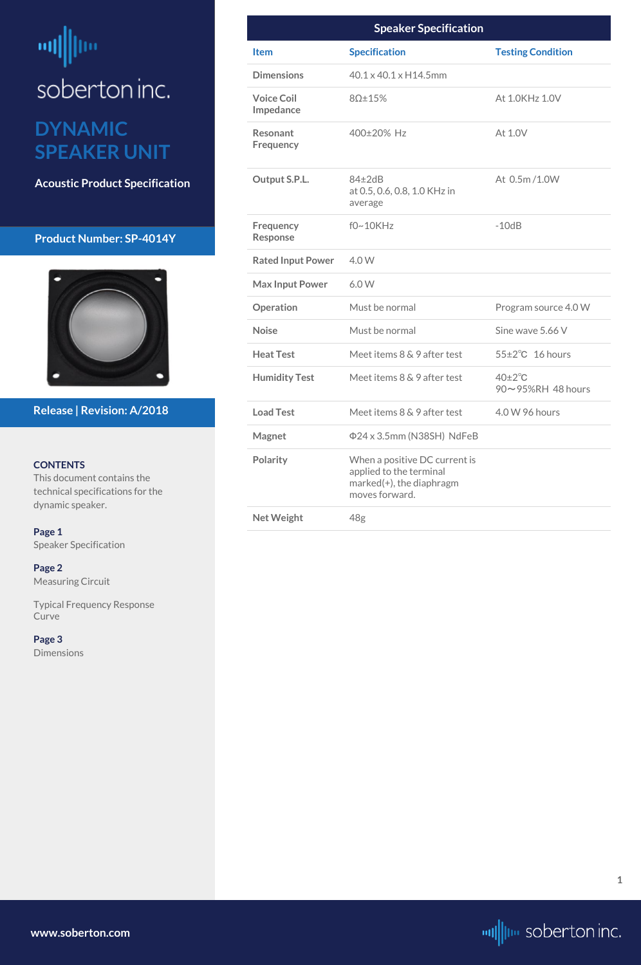# <span id="page-0-0"></span>ml soberton inc.

## **DYNAMIC SPEAKER UNIT**

**Acoustic Product Specification**

#### **Product Number: SP-4014Y**



#### **CONTENTS**

This document contains the technical specifications for the dynamic speaker.

**[Page 3](#page-2-0) [Dimensions](#page-2-0)** 

**Page 1** Speaker Specification

**[Page 2](#page-1-0)** [Measuring Circuit](#page-1-0)

[Typical Frequency Response](#page-1-0)  [Curve](#page-1-0)

#### **Release | Revision: A/2018**

**[www.soberton.com](http://www.soberton.com)**



**1**

|                                     | <b>Speaker Specification</b>                                                                           |                                        |
|-------------------------------------|--------------------------------------------------------------------------------------------------------|----------------------------------------|
| <b>Item</b>                         | <b>Specification</b>                                                                                   | <b>Testing Condition</b>               |
| <b>Dimensions</b>                   | 40.1 x 40.1 x H14.5mm                                                                                  |                                        |
| <b>Voice Coil</b><br>Impedance      | $8\Omega \pm 15\%$                                                                                     | At 1.0KHz 1.0V                         |
| <b>Resonant</b><br><b>Frequency</b> | 400±20% Hz                                                                                             | At 1.0V                                |
| Output S.P.L.                       | $84\pm2dB$<br>at 0.5, 0.6, 0.8, 1.0 KHz in<br>average                                                  | At 0.5m/1.0W                           |
| Frequency<br><b>Response</b>        | $f0~10$ KHz                                                                                            | $-10dB$                                |
| <b>Rated Input Power</b>            | 4.0 W                                                                                                  |                                        |
| <b>Max Input Power</b>              | 6.0W                                                                                                   |                                        |
| Operation                           | Must be normal                                                                                         | Program source 4.0 W                   |
| <b>Noise</b>                        | Must be normal                                                                                         | Sine wave 5.66 V                       |
| <b>Heat Test</b>                    | Meet items 8 & 9 after test                                                                            | $55\pm2\degree$ C 16 hours             |
| <b>Humidity Test</b>                | Meet items $8 \& 9$ after test                                                                         | $40\pm2\degree$ C<br>90~95%RH 48 hours |
| <b>Load Test</b>                    | Meet items 8 & 9 after test                                                                            | 4.0 W 96 hours                         |
| <b>Magnet</b>                       | Φ24 x 3.5mm (N38SH) NdFeB                                                                              |                                        |
| <b>Polarity</b>                     | When a positive DC current is<br>applied to the terminal<br>marked(+), the diaphragm<br>moves forward. |                                        |
| <b>Net Weight</b>                   | 48g                                                                                                    |                                        |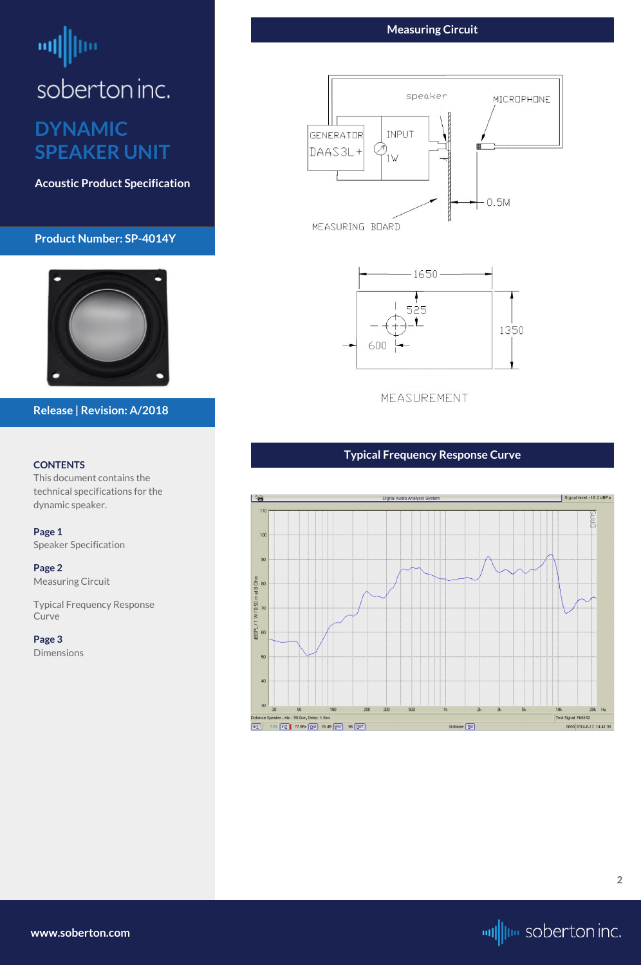# <span id="page-1-0"></span>soberton inc.

## **DYNAMIC SPEAKER UNIT**

**Acoustic Product Specification**

#### **Product Number: SP-4014Y**



#### **CONTENTS**

This document contains the technical specifications for the dynamic speaker.

**[Page 1](#page-0-0)** [Speaker Specification](#page-0-0)

**Page 2** Measuring Circuit

Typical Frequency Response Curve

**[Page 3](#page-2-0)** [Dimensions](#page-2-0)

#### **Release | Revision: A/2018**

#### **Measuring Circuit**





MEASUREMENT

**[www.soberton.com](http://www.soberton.com)**



#### **Typical Frequency Response Curve**